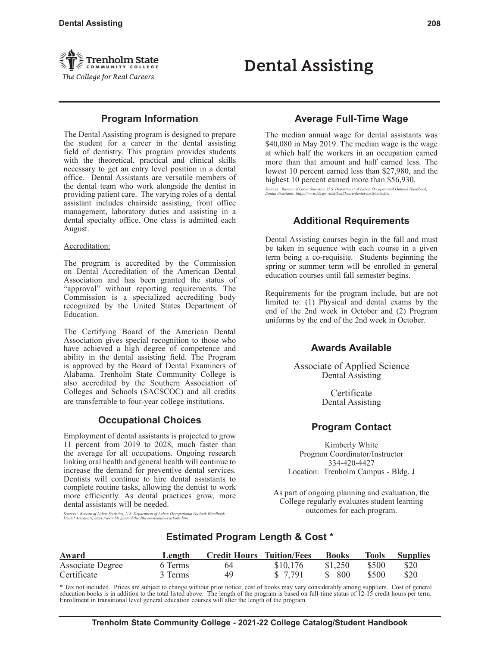

# **Program Information**

The Dental Assisting program is designed to prepare the student for a career in the dental assisting field of dentistry. This program provides students with the theoretical, practical and clinical skills necessary to get an entry level position in a dental office. Dental Assistants are versatile members of the dental team who work alongside the dentist in providing patient care. The varying roles of a dental assistant includes chairside assisting, front office management, laboratory duties and assisting in a dental specialty office. One class is admitted each August.

#### Accreditation:

The program is accredited by the Commission on Dental Accreditation of the American Dental Association and has been granted the status of "approval" without reporting requirements. The Commission is a specialized accrediting body recognized by the United States Department of Education.

The Certifying Board of the American Dental Association gives special recognition to those who have achieved a high degree of competence and ability in the dental assisting field. The Program is approved by the Board of Dental Examiners of Alabama. Trenholm State Community College is also accredited by the Southern Association of Colleges and Schools (SACSCOC) and all credits are transferrable to four-year college institutions.

# **Occupational Choices**

Employment of dental assistants is projected to grow 11 percent from 2019 to 2028, much faster than the average for all occupations. Ongoing research linking oral health and general health will continue to increase the demand for preventive dental services. Dentists will continue to hire dental assistants to complete routine tasks, allowing the dentist to work more efficiently. As dental practices grow, more dental assistants will be needed.

*Sources: Bureau of Labor Statistics, U.S. Department of Labor, Occupational Outlook Handbook, Dental Assistants, https://www.bls.gov/ooh/healthcare/dental-assistants.htm.*

# **Average Full-Time Wage**

**Dental Assisting**

The median annual wage for dental assistants was \$40,080 in May 2019. The median wage is the wage at which half the workers in an occupation earned more than that amount and half earned less. The lowest 10 percent earned less than \$27,980, and the highest 10 percent earned more than \$56,930.

*Sources: Bureau of Labor Statistics, U.S. Department of Labor, Occupational Outlook Handbook, Dental Assistants, https://www.bls.gov/ooh/healthcare/dental-assistants.htm.*

# **Additional Requirements**

Dental Assisting courses begin in the fall and must be taken in sequence with each course in a given term being a co-requisite. Students beginning the spring or summer term will be enrolled in general education courses until fall semester begins.

Requirements for the program include, but are not limited to: (1) Physical and dental exams by the end of the 2nd week in October and (2) Program uniforms by the end of the 2nd week in October.

# **Awards Available**

Associate of Applied Science Dental Assisting

> **Certificate** Dental Assisting

# **Program Contact**

Kimberly White Program Coordinator/Instructor 334-420-4427 Location: Trenholm Campus - Bldg. J

As part of ongoing planning and evaluation, the College regularly evaluates student learning outcomes for each program.

# **Estimated Program Length & Cost \***

| Award            | Length  | <b>Credit Hours Tuition/Fees</b> |          | <b>Books</b> |       | <b>Tools</b> Supplies |
|------------------|---------|----------------------------------|----------|--------------|-------|-----------------------|
| Associate Degree | 6 Terms | 64                               | \$10,176 | \$1,250      | \$500 | \$20                  |
| Certificate      | 3 Terms | 49                               | \$ 7,791 | \$ 800       | \$500 | \$20                  |

\* Tax not included. Prices are subject to change without prior notice; cost of books may vary considerably among suppliers. Cost of general education books is in addition to the total listed above. The length of the program is based on full-time status of 12-15 credit hours per term. Enrollment in transitional level general education courses will alter the length of the program.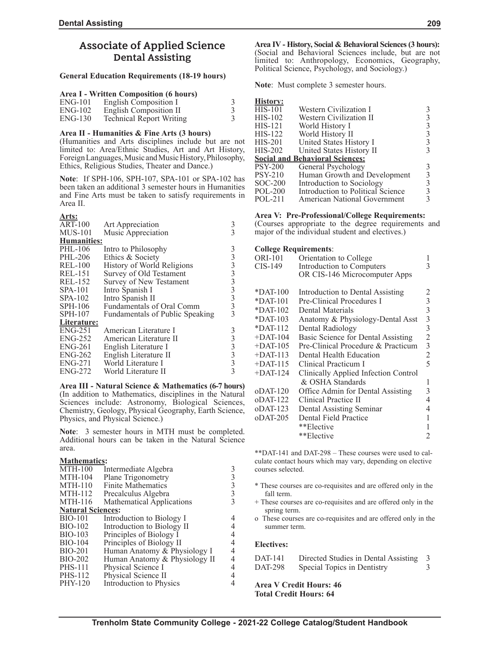# **Associate of Applied Science Dental Assisting**

## **General Education Requirements (18-19 hours)**

#### **Area I - Written Composition (6 hours)**

| $ENG-101$ | English Composition I           |  |
|-----------|---------------------------------|--|
| $ENG-102$ | English Composition II          |  |
| $ENG-130$ | <b>Technical Report Writing</b> |  |

#### **Area II - Humanities & Fine Arts (3 hours)**

(Humanities and Arts disciplines include but are not limited to: Area/Ethnic Studies, Art and Art History, Foreign Languages, Music and Music History, Philosophy, Ethics, Religious Studies, Theater and Dance.)

**Note**: If SPH-106, SPH-107, SPA-101 or SPA-102 has been taken an additional 3 semester hours in Humanities and Fine Arts must be taken to satisfy requirements in Area II.

### **Arts:**

| <b>ART-100</b> | Art Appreciation                | 3                                                 |
|----------------|---------------------------------|---------------------------------------------------|
| $MUS-101$      | Music Appreciation              | 3                                                 |
| Humanities:    |                                 |                                                   |
| PHL-106        | Intro to Philosophy             | 3                                                 |
| PHL-206        | Ethics & Society                | $\frac{3}{3}$                                     |
| <b>REL-100</b> | History of World Religions      |                                                   |
| <b>REL-151</b> | Survey of Old Testament         |                                                   |
| <b>REL-152</b> | Survey of New Testament         |                                                   |
| $SPA-101$      | Intro Spanish I                 |                                                   |
| $SPA-102$      | Intro Spanish II                | $\begin{array}{c}\n3 \\ 3 \\ 3 \\ 3\n\end{array}$ |
| $SPH-106$      | Fundamentals of Oral Comm       |                                                   |
| $SPH-107$      | Fundamentals of Public Speaking | 3                                                 |
| Literature:    |                                 |                                                   |
| $ENG-251$      | American Literature I           |                                                   |
| $ENG-252$      | American Literature II          | $\frac{3}{3}$                                     |
| $ENG-261$      | English Literature I            |                                                   |
| $ENG-262$      | English Literature II           |                                                   |
| $ENG-271$      | World Literature I              | $\frac{3}{3}$                                     |
| $ENG-272$      | World Literature II             | $\overline{3}$                                    |
|                |                                 |                                                   |

**Area III - Natural Science & Mathematics (6-7 hours)** (In addition to Mathematics, disciplines in the Natural Sciences include: Astronomy, Biological Sciences, Chemistry, Geology, Physical Geography, Earth Science, Physics, and Physical Science.)

**Note**: 3 semester hours in MTH must be completed. Additional hours can be taken in the Natural Science area.

#### **Mathematics:**

| <b>MTH-100</b>           | Intermediate Algebra             |   |
|--------------------------|----------------------------------|---|
| <b>MTH-104</b>           | Plane Trigonometry               |   |
| <b>MTH-110</b>           | <b>Finite Mathematics</b>        | 3 |
| <b>MTH-112</b>           | Precalculus Algebra              | 3 |
| MTH-116                  | <b>Mathematical Applications</b> |   |
| <b>Natural Sciences:</b> |                                  |   |
| <b>BIO-101</b>           | Introduction to Biology I        |   |
| BIO-102                  | Introduction to Biology II       |   |
| <b>BIO-103</b>           | Principles of Biology I          | 4 |
| <b>BIO-104</b>           | Principles of Biology II         |   |
| <b>BIO-201</b>           | Human Anatomy & Physiology I     | 4 |
| BIO-202                  | Human Anatomy & Physiology II    | 4 |
| <b>PHS-111</b>           | Physical Science I               |   |
| <b>PHS-112</b>           | Physical Science II              |   |
| PHY-120                  | Introduction to Physics          |   |
|                          |                                  |   |

**Area IV - History, Social & Behavioral Sciences (3 hours):** (Social and Behavioral Sciences include, but are not limited to: Anthropology, Economics, Geography, Political Science, Psychology, and Sociology.)

**Note**: Must complete 3 semester hours.

| <b>History:</b> |                                        |   |
|-----------------|----------------------------------------|---|
| $HIS-101$       | Western Civilization I                 |   |
| $HIS-102$       | Western Civilization II                |   |
| $HIS-121$       | World History I                        | 3 |
| $HIS-122$       | World History II                       |   |
| $HIS-201$       | United States History I                |   |
| $HIS-202$       | United States History II               |   |
|                 | <b>Social and Behavioral Sciences:</b> |   |
| <b>PSY-200</b>  | General Psychology                     |   |
| <b>PSY-210</b>  | Human Growth and Development           |   |
| $SOC-200$       | Introduction to Sociology              |   |
| <b>POL-200</b>  | Introduction to Political Science      |   |
| POL-211         | American National Government           |   |

#### **Area V: Pre-Professional/College Requirements:**

(Courses appropriate to the degree requirements and major of the individual student and electives.)

| <b>College Requirements:</b> |                                      |                |
|------------------------------|--------------------------------------|----------------|
| ORI-101                      | Orientation to College               |                |
| CIS-149                      | Introduction to Computers            | 3              |
|                              | OR CIS-146 Microcomputer Apps        |                |
|                              |                                      |                |
| $*$ DAT-100                  | Introduction to Dental Assisting     | 2              |
| $*$ DAT-101                  | Pre-Clinical Procedures I            | 3              |
| $*$ DAT-102                  | Dental Materials                     | 3              |
| $*$ DAT-103                  | Anatomy & Physiology-Dental Asst     | 3              |
| $*$ DAT-112                  | Dental Radiology                     | 3              |
| $+$ DAT-104                  | Basic Science for Dental Assisting   | $\overline{c}$ |
| $+$ DAT-105                  | Pre-Clinical Procedure & Practicum   | 3              |
| $+$ DAT-113                  | Dental Health Education              | $\overline{2}$ |
| $+$ DAT-115                  | Clinical Practicum I                 | 5              |
| $+$ DAT-124                  | Clinically Applied Infection Control |                |
|                              | & OSHA Standards                     | 1              |
| $o$ DAT-120                  | Office Admin for Dental Assisting    | 3              |
| $o$ DAT-122                  | Clinical Practice II                 | 4              |
| $o$ DAT-123                  | Dental Assisting Seminar             | 4              |
| $o$ DAT-205                  | Dental Field Practice                | 1              |
|                              | **Elective                           |                |
|                              | **Elective                           | 2              |

\*\*DAT-141 and DAT-298 – These courses were used to calculate contact hours which may vary, depending on elective courses selected.

- \* These courses are co-requisites and are offered only in the fall term.
- + These courses are co-requisites and are offered only in the spring term.
- o These courses are co-requisites and are offered only in the summer term.

### **Electives:**

| DAT-141 | Directed Studies in Dental Assisting 3 |  |
|---------|----------------------------------------|--|
| DAT-298 | Special Topics in Dentistry            |  |
|         |                                        |  |

**Area V Credit Hours: 46 Total Credit Hours: 64**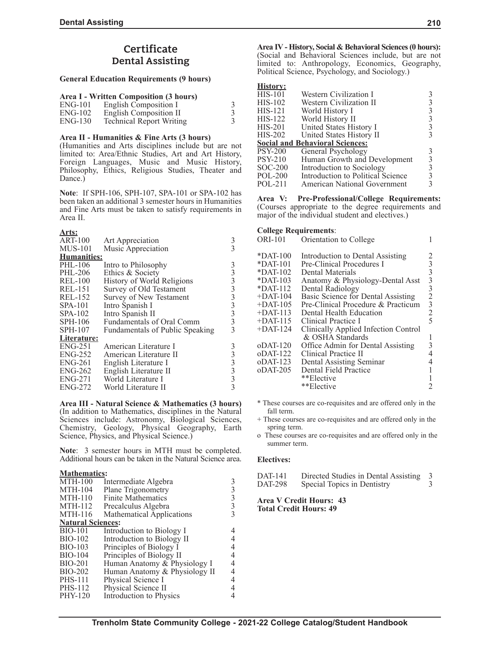# **Certificate Dental Assisting**

## **General Education Requirements (9 hours)**

|  |  |  | Area I - Written Composition (3 hours) |  |  |  |
|--|--|--|----------------------------------------|--|--|--|
|--|--|--|----------------------------------------|--|--|--|

| $ENG-101$ | <b>English Composition I</b>    |  |
|-----------|---------------------------------|--|
| $ENG-102$ | English Composition II          |  |
| $ENG-130$ | <b>Technical Report Writing</b> |  |

## **Area II - Humanities & Fine Arts (3 hours)**

(Humanities and Arts disciplines include but are not limited to: Area/Ethnic Studies, Art and Art History, Foreign Languages, Music and Music History, Philosophy, Ethics, Religious Studies, Theater and Dance.)

**Note**: If SPH-106, SPH-107, SPA-101 or SPA-102 has been taken an additional 3 semester hours in Humanities and Fine Arts must be taken to satisfy requirements in Area II.

## **Arts:**

| <b>ART-100</b> | Art Appreciation                | 3               |
|----------------|---------------------------------|-----------------|
| $MUS-101$      | Music Appreciation              |                 |
| Humanities:    |                                 |                 |
| PHL-106        | Intro to Philosophy             |                 |
| <b>PHL-206</b> | Ethics & Society                |                 |
| <b>REL-100</b> | History of World Religions      |                 |
| <b>REL-151</b> | Survey of Old Testament         |                 |
| <b>REL-152</b> | Survey of New Testament         |                 |
| $SPA-101$      | Intro Spanish I                 | 3333333         |
| $SPA-102$      | Intro Spanish II                |                 |
| $SPH-106$      | Fundamentals of Oral Comm       |                 |
| $SPH-107$      | Fundamentals of Public Speaking | 3               |
| Literature:    |                                 |                 |
| $ENG-251$      | American Literature I           |                 |
| $ENG-252$      | American Literature II          |                 |
| $ENG-261$      | English Literature I            |                 |
| $ENG-262$      | English Literature II           |                 |
| <b>ENG-271</b> | World Literature I              | $3333$<br>$333$ |
| ENG-272        | World Literature II             |                 |
|                |                                 |                 |

**Area III - Natural Science & Mathematics (3 hours)** (In addition to Mathematics, disciplines in the Natural Sciences include: Astronomy, Biological Sciences, Chemistry, Geology, Physical Geography, Earth Science, Physics, and Physical Science.)

**Note**: 3 semester hours in MTH must be completed. Additional hours can be taken in the Natural Science area.

### **Mathematics:**

| $MTH-100$                | Intermediate Algebra             |  |
|--------------------------|----------------------------------|--|
| <b>MTH-104</b>           | Plane Trigonometry               |  |
| <b>MTH-110</b>           | <b>Finite Mathematics</b>        |  |
| <b>MTH-112</b>           | Precalculus Algebra              |  |
| <b>MTH-116</b>           | <b>Mathematical Applications</b> |  |
| <b>Natural Sciences:</b> |                                  |  |
| <b>BIO-101</b>           | Introduction to Biology I        |  |
| <b>BIO-102</b>           | Introduction to Biology II       |  |
| <b>BIO-103</b>           | Principles of Biology I          |  |
| <b>BIO-104</b>           | Principles of Biology II         |  |
| BIO-201                  | Human Anatomy & Physiology I     |  |
| <b>BIO-202</b>           | Human Anatomy & Physiology II    |  |
| <b>PHS-111</b>           | Physical Science I               |  |
| <b>PHS-112</b>           | Physical Science II              |  |
| PHY-120                  | Introduction to Physics          |  |
|                          |                                  |  |

**Area IV - History, Social & Behavioral Sciences (0 hours):** (Social and Behavioral Sciences include, but are not limited to: Anthropology, Economics, Geography, Political Science, Psychology, and Sociology.)

## **History:**

| <b>HIS-101</b> | Western Civilization I                 |   |
|----------------|----------------------------------------|---|
| $HIS-102$      | Western Civilization II                |   |
| $HIS-121$      | World History I                        | 3 |
| $HIS-122$      | World History II                       | 3 |
| <b>HIS-201</b> | United States History I                | 3 |
| HIS-202        | United States History II               |   |
|                |                                        |   |
|                | <b>Social and Behavioral Sciences:</b> |   |
| <b>PSY-200</b> | General Psychology                     |   |
| <b>PSY-210</b> | Human Growth and Development           | 3 |
| $SOC-200$      | Introduction to Sociology              | 3 |
| <b>POL-200</b> | Introduction to Political Science      |   |

**Area V: Pre-Professional/College Requirements:** (Courses appropriate to the degree requirements and major of the individual student and electives.)

### **College Requirements**:

| <b>ORI-101</b> | Orientation to College               |                |
|----------------|--------------------------------------|----------------|
| $*$ DAT-100    | Introduction to Dental Assisting     |                |
| $*$ DAT-101    | Pre-Clinical Procedures I            | 3              |
| $*$ DAT-102    | Dental Materials                     | 3              |
| $*$ DAT-103    | Anatomy & Physiology-Dental Asst     | 3              |
| $*$ DAT-112    | Dental Radiology                     | 3              |
| $+$ DAT-104    | Basic Science for Dental Assisting   | $\overline{c}$ |
| $+$ DAT-105    | Pre-Clinical Procedure & Practicum   | 3              |
| $+$ DAT-113    | Dental Health Education              | 2              |
| $+$ DAT-115    | Clinical Practice I                  | 5              |
| $+$ DAT-124    | Clinically Applied Infection Control |                |
|                | & OSHA Standards                     |                |
| $o$ DAT-120    | Office Admin for Dental Assisting    | 3              |
| $o$ DAT-122    | Clinical Practice II                 |                |
| $o$ DAT-123    | Dental Assisting Seminar             |                |
| $o$ DAT-205    | Dental Field Practice                |                |
|                | **Elective                           |                |
|                | **Elective                           |                |

- \* These courses are co-requisites and are offered only in the fall term.
- + These courses are co-requisites and are offered only in the spring term.
- o These courses are co-requisites and are offered only in the summer term.

### **Electives:**

| DAT-141 | Directed Studies in Dental Assisting 3 |  |
|---------|----------------------------------------|--|
| DAT-298 | Special Topics in Dentistry            |  |

#### **Area V Credit Hours: 43 Total Credit Hours: 49**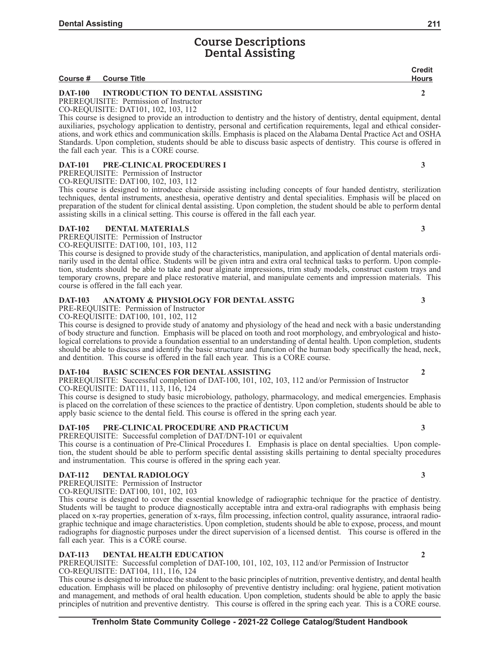# **Course Descriptions Dental Assisting**

|                |                                         | <b>Credit</b> |
|----------------|-----------------------------------------|---------------|
|                | Course # Course Title                   | Hours         |
| <b>DAT-100</b> | <b>INTRODUCTION TO DENTAL ASSISTING</b> |               |
|                |                                         |               |

PREREQUISITE: Permission of Instructor

CO-REQUISITE: DAT101, 102, 103, 112

This course is designed to provide an introduction to dentistry and the history of dentistry, dental equipment, dental auxiliaries, psychology application to dentistry, personal and certification requirements, legal and ethical considerations, and work ethics and communication skills. Emphasis is placed on the Alabama Dental Practice Act and OSHA Standards. Upon completion, students should be able to discuss basic aspects of dentistry. This course is offered in the fall each year. This is a CORE course.

## **DAT-101 PRE-CLINICAL PROCEDURES I** 3

PREREQUISITE: Permission of Instructor CO-REQUISITE: DAT100, 102, 103, 112

This course is designed to introduce chairside assisting including concepts of four handed dentistry, sterilization techniques, dental instruments, anesthesia, operative dentistry and dental specialities. Emphasis will be placed on preparation of the student for clinical dental assisting. Upon completion, the student should be able to perform dental assisting skills in a clinical setting. This course is offered in the fall each year.

# **DAT-102 DENTAL MATERIALS 3**

PREREQUISITE: Permission of Instructor

CO-REQUISITE: DAT100, 101, 103, 112

This course is designed to provide study of the characteristics, manipulation, and application of dental materials ordinarily used in the dental office. Students will be given intra and extra oral technical tasks to perform. Upon completion, students should be able to take and pour alginate impressions, trim study models, construct custom trays and temporary crowns, prepare and place restorative material, and manipulate cements and impression materials. This course is offered in the fall each year.

## **DAT-103 ANATOMY & PHYSIOLOGY FOR DENTAL ASSTG 3**

PRE-REQUISITE: Permission of Instructor

CO-REQUISITE: DAT100, 101, 102, 112

This course is designed to provide study of anatomy and physiology of the head and neck with a basic understanding of body structure and function. Emphasis will be placed on tooth and root morphology, and embryological and histological correlations to provide a foundation essential to an understanding of dental health. Upon completion, students should be able to discuss and identify the basic structure and function of the human body specifically the head, neck, and dentition. This course is offered in the fall each year. This is a CORE course.

# **DAT-104 BASIC SCIENCES FOR DENTAL ASSISTING 2**

PREREQUISITE: Successful completion of DAT-100, 101, 102, 103, 112 and/or Permission of Instructor CO-REQUISITE: DAT111, 113, 116, 124

This course is designed to study basic microbiology, pathology, pharmacology, and medical emergencies. Emphasis is placed on the correlation of these sciences to the practice of dentistry. Upon completion, students should be able to apply basic science to the dental field. This course is offered in the spring each year.

# **DAT-105 PRE-CLINICAL PROCEDURE AND PRACTICUM 3**

PREREQUISITE: Successful completion of DAT/DNT-101 or equivalent

This course is a continuation of Pre-Clinical Procedures I. Emphasis is place on dental specialties. Upon completion, the student should be able to perform specific dental assisting skills pertaining to dental specialty procedures and instrumentation. This course is offered in the spring each year.

### **DAT-112 DENTAL RADIOLOGY 3**

PREREQUISITE: Permission of Instructor

CO-REQUISITE: DAT100, 101, 102, 103

This course is designed to cover the essential knowledge of radiographic technique for the practice of dentistry. Students will be taught to produce diagnostically acceptable intra and extra-oral radiographs with emphasis being placed on x-ray properties, generation of x-rays, film processing, infection control, quality assurance, intraoral radiographic technique and image characteristics. Upon completion, students should be able to expose, process, and mount radiographs for diagnostic purposes under the direct supervision of a licensed dentist. This course is offered in the fall each year. This is a CORE course.

### **DAT-113 DENTAL HEALTH EDUCATION 2**

PREREQUISITE: Successful completion of DAT-100, 101, 102, 103, 112 and/or Permission of Instructor CO-REQUISITE: DAT104, 111, 116, 124

This course is designed to introduce the student to the basic principles of nutrition, preventive dentistry, and dental health education. Emphasis will be placed on philosophy of preventive dentistry including: oral hygiene, patient motivation and management, and methods of oral health education. Upon completion, students should be able to apply the basic principles of nutrition and preventive dentistry. This course is offered in the spring each year. This is a CORE course.